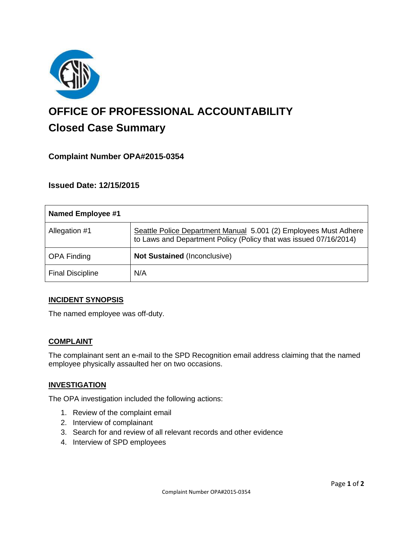

# **OFFICE OF PROFESSIONAL ACCOUNTABILITY Closed Case Summary**

# **Complaint Number OPA#2015-0354**

**Issued Date: 12/15/2015**

| Named Employee #1       |                                                                                                                                       |
|-------------------------|---------------------------------------------------------------------------------------------------------------------------------------|
| Allegation #1           | Seattle Police Department Manual 5.001 (2) Employees Must Adhere<br>to Laws and Department Policy (Policy that was issued 07/16/2014) |
| <b>OPA Finding</b>      | Not Sustained (Inconclusive)                                                                                                          |
| <b>Final Discipline</b> | N/A                                                                                                                                   |

## **INCIDENT SYNOPSIS**

The named employee was off-duty.

## **COMPLAINT**

The complainant sent an e-mail to the SPD Recognition email address claiming that the named employee physically assaulted her on two occasions.

#### **INVESTIGATION**

The OPA investigation included the following actions:

- 1. Review of the complaint email
- 2. Interview of complainant
- 3. Search for and review of all relevant records and other evidence
- 4. Interview of SPD employees